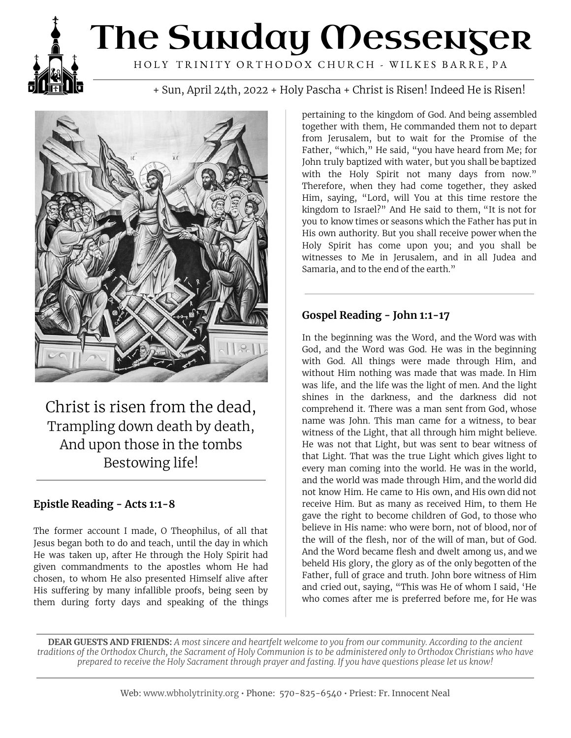The Sunday Messenger HOLY TRINITY ORTHODOX CHURCH - WILKES BARRE, PA



+ Sun, April 24th, 2022 + Holy Pascha + Christ is Risen! Indeed He is Risen!



Christ is risen from the dead, Trampling down death by death, And upon those in the tombs Bestowing life!

### **Epistle Reading - Acts 1:1-8**

The former account I made, O Theophilus, of all that Jesus began both to do and teach, until the day in which He was taken up, after He through the Holy Spirit had given commandments to the apostles whom He had chosen, to whom He also presented Himself alive after His suffering by many infallible proofs, being seen by them during forty days and speaking of the things

pertaining to the kingdom of God. And being assembled together with them, He commanded them not to depart from Jerusalem, but to wait for the Promise of the Father, "which," He said, "you have heard from Me; for John truly baptized with water, but you shall be baptized with the Holy Spirit not many days from now." Therefore, when they had come together, they asked Him, saying, "Lord, will You at this time restore the kingdom to Israel?" And He said to them, "It is not for you to know times or seasons which the Father has put in His own authority. But you shall receive power when the Holy Spirit has come upon you; and you shall be witnesses to Me in Jerusalem, and in all Judea and Samaria, and to the end of the earth."

### **Gospel Reading - John 1:1-17**

In the beginning was the Word, and the Word was with God, and the Word was God. He was in the beginning with God. All things were made through Him, and without Him nothing was made that was made. In Him was life, and the life was the light of men. And the light shines in the darkness, and the darkness did not comprehend it. There was a man sent from God, whose name was John. This man came for a witness, to bear witness of the Light, that all through him might believe. He was not that Light, but was sent to bear witness of that Light. That was the true Light which gives light to every man coming into the world. He was in the world, and the world was made through Him, and the world did not know Him. He came to His own, and His own did not receive Him. But as many as received Him, to them He gave the right to become children of God, to those who believe in His name: who were born, not of blood, nor of the will of the flesh, nor of the will of man, but of God. And the Word became flesh and dwelt among us, and we beheld His glory, the glory as of the only begotten of the Father, full of grace and truth. John bore witness of Him and cried out, saying, "This was He of whom I said, 'He who comes after me is preferred before me, for He was

DEAR GUESTS AND FRIENDS: A most sincere and heartfelt welcome to you from our community. According to the ancient traditions of the Orthodox Church, the Sacrament of Holy Communion is to be administered only to Orthodox Christians who have prepared to receive the Holy Sacrament through prayer and fasting. If you have questions please let us know!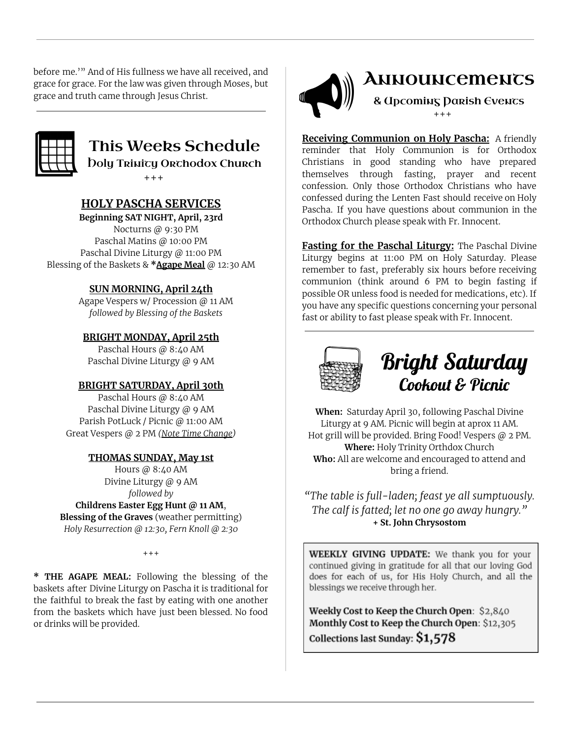before me.'" And of His fullness we have all received, and grace for grace. For the law was given through Moses, but grace and truth came through Jesus Christ.



# This Weeks Schedule

Holy Trinity Orthodox Church  $+ + +$ 

### **HOLY PASCHA SERVICES**

#### **Beginning SAT NIGHT, April, 23rd**

Nocturns @ 9:30 PM Paschal Matins @ 10:00 PM Paschal Divine Liturgy @ 11:00 PM Blessing of the Baskets & **\*Agape Meal** @ 12:30 AM

#### **SUN MORNING, April 24th**

Agape Vespers w/ Procession @ 11 AM *followed by Blessing of the Baskets*

#### **BRIGHT MONDAY, April 25th**

Paschal Hours @ 8:40 AM Paschal Divine Liturgy @ 9 AM

#### **BRIGHT SATURDAY, April 30th**

Paschal Hours @ 8:40 AM Paschal Divine Liturgy @ 9 AM Parish PotLuck / Picnic @ 11:00 AM Great Vespers @ 2 PM *(Note Time Change)*

#### **THOMAS SUNDAY, May 1st**

Hours @ 8:40 AM Divine Liturgy @ 9 AM *followed by*

**Childrens Easter Egg Hunt @ 11 AM**, **Blessing of the Graves** (weather permitting) *Holy Resurrection @ 12:30, Fern Knoll @ 2:30*

 $+ + +$ 

**\* THE AGAPE MEAL:** Following the blessing of the baskets after Divine Liturgy on Pascha it is traditional for the faithful to break the fast by eating with one another from the baskets which have just been blessed. No food or drinks will be provided.



**Receiving Communion on Holy Pascha:** A friendly reminder that Holy Communion is for Orthodox Christians in good standing who have prepared themselves through fasting, prayer and recent confession. Only those Orthodox Christians who have confessed during the Lenten Fast should receive on Holy Pascha. If you have questions about communion in the Orthodox Church please speak with Fr. Innocent.

**Fasting for the Paschal Liturgy:** The Paschal Divine Liturgy begins at 11:00 PM on Holy Saturday. Please remember to fast, preferably six hours before receiving communion (think around 6 PM to begin fasting if possible OR unless food is needed for medications, etc). If you have any specific questions concerning your personal fast or ability to fast please speak with Fr. Innocent.



Bright Saturday Cookout & Picnic

**When:** Saturday April 30, following Paschal Divine Liturgy at 9 AM. Picnic will begin at aprox 11 AM. Hot grill will be provided. Bring Food! Vespers @ 2 PM. **Where:** Holy Trinity Orthdox Church **Who:** All are welcome and encouraged to attend and bring a friend.

*"The table is full-laden; feast ye all sumptuously. The calf is fatted; let no one go away hungry."* **+ St. John Chrysostom**

WEEKLY GIVING UPDATE: We thank you for your continued giving in gratitude for all that our loving God does for each of us, for His Holy Church, and all the blessings we receive through her.

Weekly Cost to Keep the Church Open: \$2,840 Monthly Cost to Keep the Church Open: \$12,305 Collections last Sunday: \$1,578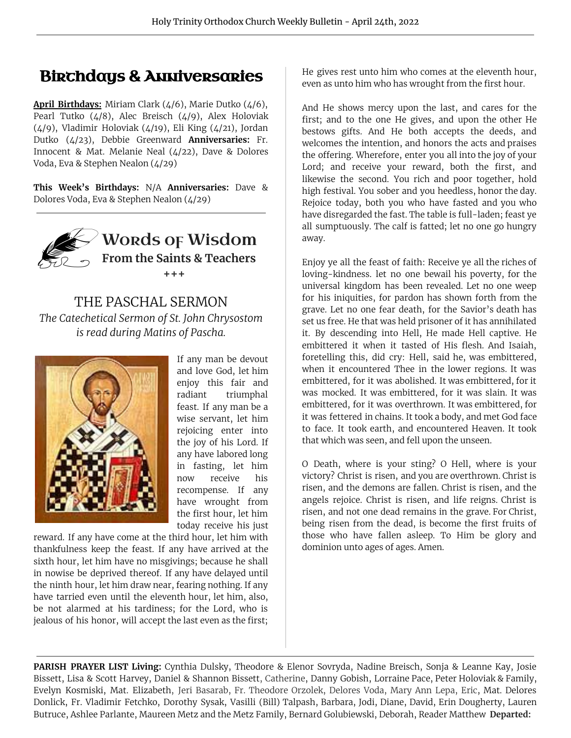# **Birchdays & Anniversaries**

**April Birthdays:** Miriam Clark (4/6), Marie Dutko (4/6), Pearl Tutko (4/8), Alec Breisch (4/9), Alex Holoviak (4/9), Vladimir Holoviak (4/19), Eli King (4/21), Jordan Dutko (4/23), Debbie Greenward **Anniversaries:** Fr. Innocent & Mat. Melanie Neal (4/22), Dave & Dolores Voda, Eva & Stephen Nealon (4/29)

**This Week's Birthdays:** N/A **Anniversaries:** Dave & Dolores Voda, Eva & Stephen Nealon (4/29)



## Words of Wisdom **From the Saints & Teachers +++**

THE PASCHAL SERMON *The Catechetical Sermon of St. John Chrysostom is read during Matins of Pascha.*



If any man be devout and love God, let him enjoy this fair and radiant triumphal feast. If any man be a wise servant, let him rejoicing enter into the joy of his Lord. If any have labored long in fasting, let him now receive his recompense. If any have wrought from the first hour, let him today receive his just

reward. If any have come at the third hour, let him with thankfulness keep the feast. If any have arrived at the sixth hour, let him have no misgivings; because he shall in nowise be deprived thereof. If any have delayed until the ninth hour, let him draw near, fearing nothing. If any have tarried even until the eleventh hour, let him, also, be not alarmed at his tardiness; for the Lord, who is jealous of his honor, will accept the last even as the first;

He gives rest unto him who comes at the eleventh hour, even as unto him who has wrought from the first hour.

And He shows mercy upon the last, and cares for the first; and to the one He gives, and upon the other He bestows gifts. And He both accepts the deeds, and welcomes the intention, and honors the acts and praises the offering. Wherefore, enter you all into the joy of your Lord; and receive your reward, both the first, and likewise the second. You rich and poor together, hold high festival. You sober and you heedless, honor the day. Rejoice today, both you who have fasted and you who have disregarded the fast. The table is full-laden; feast ye all sumptuously. The calf is fatted; let no one go hungry away.

Enjoy ye all the feast of faith: Receive ye all the riches of loving-kindness. let no one bewail his poverty, for the universal kingdom has been revealed. Let no one weep for his iniquities, for pardon has shown forth from the grave. Let no one fear death, for the Savior's death has set us free. He that was held prisoner of it has annihilated it. By descending into Hell, He made Hell captive. He embittered it when it tasted of His flesh. And Isaiah, foretelling this, did cry: Hell, said he, was embittered, when it encountered Thee in the lower regions. It was embittered, for it was abolished. It was embittered, for it was mocked. It was embittered, for it was slain. It was embittered, for it was overthrown. It was embittered, for it was fettered in chains. It took a body, and met God face to face. It took earth, and encountered Heaven. It took that which was seen, and fell upon the unseen.

O Death, where is your sting? O Hell, where is your victory? Christ is risen, and you are overthrown. Christ is risen, and the demons are fallen. Christ is risen, and the angels rejoice. Christ is risen, and life reigns. Christ is risen, and not one dead remains in the grave. For Christ, being risen from the dead, is become the first fruits of those who have fallen asleep. To Him be glory and dominion unto ages of ages. Amen.

**PARISH PRAYER LIST Living:** Cynthia Dulsky, Theodore & Elenor Sovryda, Nadine Breisch, Sonja & Leanne Kay, Josie Bissett, Lisa & Scott Harvey, Daniel & Shannon Bissett, Catherine, Danny Gobish, Lorraine Pace, Peter Holoviak & Family, Evelyn Kosmiski, Mat. Elizabeth, Jeri Basarab, Fr. Theodore Orzolek, Delores Voda, Mary Ann Lepa, Eric, Mat. Delores Donlick, Fr. Vladimir Fetchko, Dorothy Sysak, Vasilli (Bill) Talpash, Barbara, Jodi, Diane, David, Erin Dougherty, Lauren Butruce, Ashlee Parlante, Maureen Metz and the Metz Family, Bernard Golubiewski, Deborah, Reader Matthew **Departed:**